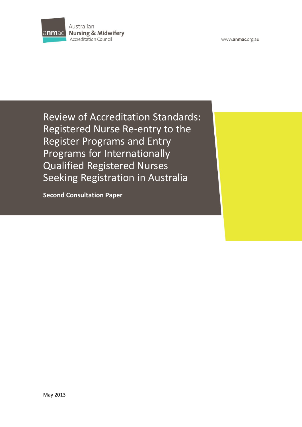

www.anmac.org.au

Review of Accreditation Standards: Registered Nurse Re-entry to the Register Programs and Entry Programs for Internationally Qualified Registered Nurses Seeking Registration in Australia

**Second Consultation Paper**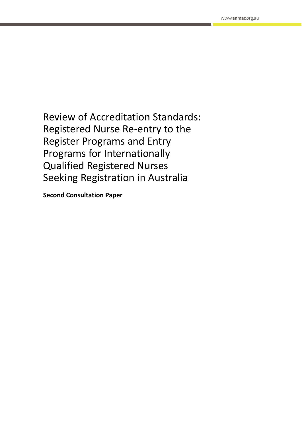Review of Accreditation Standards: Registered Nurse Re-entry to the Register Programs and Entry Programs for Internationally Qualified Registered Nurses Seeking Registration in Australia

**Second Consultation Paper**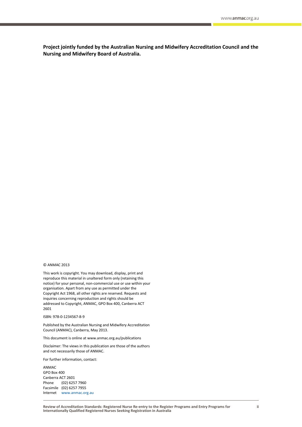**Project jointly funded by the Australian Nursing and Midwifery Accreditation Council and the Nursing and Midwifery Board of Australia.**

#### © ANMAC 2013

This work is copyright. You may download, display, print and reproduce this material in unaltered form only (retaining this notice) for your personal, non-commercial use or use within your organisation. Apart from any use as permitted under the Copyright Act 1968, all other rights are reserved. Requests and inquiries concerning reproduction and rights should be addressed to Copyright, ANMAC, GPO Box 400, Canberra ACT 2601

#### ISBN: 978-0-1234567-8-9

Published by the Australian Nursing and Midwifery Accreditation Council (ANMAC), Canberra, May 2013.

This document is online at www.anmac.org.au/publications

Disclaimer: The views in this publication are those of the authors and not necessarily those of ANMAC.

For further information, contact:

ANMAC GPO Box 400 Canberra ACT 2601 Phone (02) 6257 7960 Facsimile (02) 6257 7955 Internet [www.anmac.org.au](http://www.anmac.org.au/)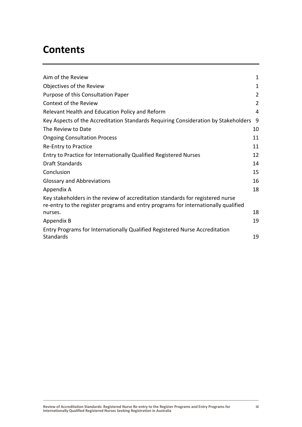# **Contents**

| Aim of the Review                                                                                                                                                    | 1  |
|----------------------------------------------------------------------------------------------------------------------------------------------------------------------|----|
| Objectives of the Review                                                                                                                                             | 1  |
| Purpose of this Consultation Paper                                                                                                                                   | 2  |
| Context of the Review                                                                                                                                                | 2  |
| Relevant Health and Education Policy and Reform                                                                                                                      | 4  |
| Key Aspects of the Accreditation Standards Requiring Consideration by Stakeholders                                                                                   | 9  |
| The Review to Date                                                                                                                                                   | 10 |
| <b>Ongoing Consultation Process</b>                                                                                                                                  | 11 |
| Re-Entry to Practice                                                                                                                                                 | 11 |
| Entry to Practice for Internationally Qualified Registered Nurses                                                                                                    | 12 |
| <b>Draft Standards</b>                                                                                                                                               | 14 |
| Conclusion                                                                                                                                                           | 15 |
| <b>Glossary and Abbreviations</b>                                                                                                                                    | 16 |
| Appendix A                                                                                                                                                           | 18 |
| Key stakeholders in the review of accreditation standards for registered nurse<br>re-entry to the register programs and entry programs for internationally qualified |    |
| nurses.                                                                                                                                                              | 18 |
| Appendix B                                                                                                                                                           | 19 |
| Entry Programs for Internationally Qualified Registered Nurse Accreditation<br><b>Standards</b>                                                                      | 19 |
|                                                                                                                                                                      |    |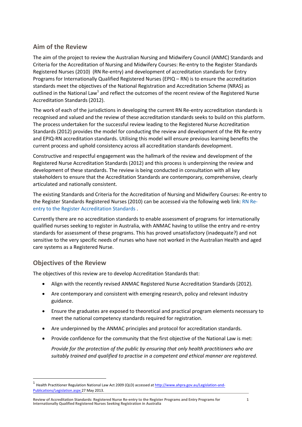### <span id="page-4-0"></span>**Aim of the Review**

The aim of the project to review the Australian Nursing and Midwifery Council (ANMC) Standards and Criteria for the Accreditation of Nursing and Midwifery Courses: Re-entry to the Register Standards Registered Nurses (2010) (RN Re-entry) and development of accreditation standards for Entry Programs for Internationally Qualified Registered Nurses (EPIQ – RN) is to ensure the accreditation standards meet the objectives of the National Registration and Accreditation Scheme (NRAS) as outlined in the National Law<sup>1</sup> and reflect the outcomes of the recent review of the Registered Nurse Accreditation Standards (2012).

The work of each of the jurisdictions in developing the current RN Re-entry accreditation standards is recognised and valued and the review of these accreditation standards seeks to build on this platform. The process undertaken for the successful review leading to the Registered Nurse Accreditation Standards (2012) provides the model for conducting the review and development of the RN Re-entry and EPIQ-RN accreditation standards. Utilising this model will ensure previous learning benefits the current process and uphold consistency across all accreditation standards development.

Constructive and respectful engagement was the hallmark of the review and development of the Registered Nurse Accreditation Standards (2012) and this process is underpinning the review and development of these standards. The review is being conducted in consultation with all key stakeholders to ensure that the Accreditation Standards are contemporary, comprehensive, clearly articulated and nationally consistent.

The existing Standards and Criteria for the Accreditation of Nursing and Midwifery Courses: Re-entry to the Register Standards Registered Nurses (2010) can be accessed via the following web link: [RN Re](http://anmac.org.au/sites/default/files/documents/Standards%20and%20criteria%20for%20the%20accreditation%20of%20nursing%20and%20midwifery%20courses%20-%20Re%20Entry%20to%20the%20Register%20Standards%20-%20RN%20May%202010.pdf)[entry to the Register Accreditation Standards](http://anmac.org.au/sites/default/files/documents/Standards%20and%20criteria%20for%20the%20accreditation%20of%20nursing%20and%20midwifery%20courses%20-%20Re%20Entry%20to%20the%20Register%20Standards%20-%20RN%20May%202010.pdf) .

Currently there are no accreditation standards to enable assessment of programs for internationally qualified nurses seeking to register in Australia, with ANMAC having to utilise the entry and re-entry standards for assessment of these programs. This has proved unsatisfactory (inadequate?) and not sensitive to the very specific needs of nurses who have not worked in the Australian Health and aged care systems as a Registered Nurse.

### <span id="page-4-1"></span>**Objectives of the Review**

 $\overline{a}$ 

The objectives of this review are to develop Accreditation Standards that:

- Align with the recently revised ANMAC Registered Nurse Accreditation Standards (2012).
- Are contemporary and consistent with emerging research, policy and relevant industry guidance.
- Ensure the graduates are exposed to theoretical and practical program elements necessary to meet the national competency standards required for registration.
- Are underpinned by the ANMAC principles and protocol for accreditation standards.
- Provide confidence for the community that the first objective of the National Law is met:

*Provide for the protection of the public by ensuring that only health practitioners who are suitably trained and qualified to practise in a competent and ethical manner are registered*.

<sup>1</sup> Health Practitioner Regulation National Law Act 2009 (QLD) accessed a[t http://www.ahpra.gov.au/Legislation-and-](http://www.ahpra.gov.au/Legislation-and-Publications/Legislation.aspx)[Publications/Legislation.aspx](http://www.ahpra.gov.au/Legislation-and-Publications/Legislation.aspx) 27 May 2013.

**Review of Accreditation Standards: Registered Nurse Re-entry to the Register Programs and Entry Programs for Internationally Qualified Registered Nurses Seeking Registration in Australia**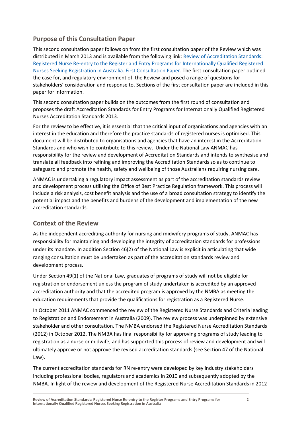## <span id="page-5-0"></span>**Purpose of this Consultation Paper**

This second consultation paper follows on from the first consultation paper of the Review which was distributed in March 2013 and is available from the following link: [Review of Accreditation Standards:](http://www.anmac.org.au/sites/default/files/documents/First%20Consultation%20Paper%20The%20Review%20of%20Accreditation%20Standards%20Registered%20Nurse%20Re-entry%20Programs%20and%20EPIQ-RN.pdf)  [Registered Nurse Re-entry to the Register and Entry Programs for](http://www.anmac.org.au/sites/default/files/documents/First%20Consultation%20Paper%20The%20Review%20of%20Accreditation%20Standards%20Registered%20Nurse%20Re-entry%20Programs%20and%20EPIQ-RN.pdf) Internationally Qualified Registered [Nurses Seeking Registration in Australia. First Consultation Paper.](http://www.anmac.org.au/sites/default/files/documents/First%20Consultation%20Paper%20The%20Review%20of%20Accreditation%20Standards%20Registered%20Nurse%20Re-entry%20Programs%20and%20EPIQ-RN.pdf) The first consultation paper outlined the case for, and regulatory environment of, the Review and posed a range of questions for stakeholders' consideration and response to. Sections of the first consultation paper are included in this paper for information.

This second consultation paper builds on the outcomes from the first round of consultation and proposes the draft Accreditation Standards for Entry Programs for Internationally Qualified Registered Nurses Accreditation Standards 2013.

For the review to be effective, it is essential that the critical input of organisations and agencies with an interest in the education and therefore the practice standards of registered nurses is optimised. This document will be distributed to organisations and agencies that have an interest in the Accreditation Standards and who wish to contribute to this review. Under the National Law ANMAC has responsibility for the review and development of Accreditation Standards and intends to synthesise and translate all feedback into refining and improving the Accreditation Standards so as to continue to safeguard and promote the health, safety and wellbeing of those Australians requiring nursing care.

ANMAC is undertaking a regulatory impact assessment as part of the accreditation standards review and development process utilising the Office of Best Practice Regulation framework. This process will include a risk analysis, cost benefit analysis and the use of a broad consultation strategy to identify the potential impact and the benefits and burdens of the development and implementation of the new accreditation standards.

### <span id="page-5-1"></span>**Context of the Review**

As the independent accrediting authority for nursing and midwifery programs of study, ANMAC has responsibility for maintaining and developing the integrity of accreditation standards for professions under its mandate. In addition Section 46(2) of the National Law is explicit in articulating that wide ranging consultation must be undertaken as part of the accreditation standards review and development process.

Under Section 49(1) of the National Law, graduates of programs of study will not be eligible for registration or endorsement unless the program of study undertaken is accredited by an approved accreditation authority and that the accredited program is approved by the NMBA as meeting the education requirements that provide the qualifications for registration as a Registered Nurse.

In October 2011 ANMAC commenced the review of the Registered Nurse Standards and Criteria leading to Registration and Endorsement in Australia (2009). The review process was underpinned by extensive stakeholder and other consultation. The NMBA endorsed the Registered Nurse Accreditation Standards (2012) in October 2012. The NMBA has final responsibility for approving programs of study leading to registration as a nurse or midwife, and has supported this process of review and development and will ultimately approve or not approve the revised accreditation standards (see Section 47 of the National Law).

The current accreditation standards for RN re-entry were developed by key industry stakeholders including professional bodies, regulators and academics in 2010 and subsequently adopted by the NMBA. In light of the review and development of the Registered Nurse Accreditation Standards in 2012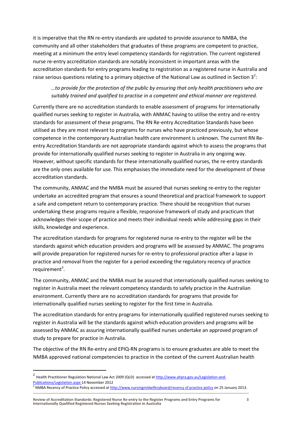it is imperative that the RN re-entry standards are updated to provide assurance to NMBA, the community and all other stakeholders that graduates of these programs are competent to practice, meeting at a minimum the entry level competency standards for registration. The current registered nurse re-entry accreditation standards are notably inconsistent in important areas with the accreditation standards for entry programs leading to registration as a registered nurse in Australia and raise serious questions relating to a primary objective of the National Law as outlined in Section 3<sup>2</sup>:

### *…to provide for the protection of the public by ensuring that only health practitioners who are suitably trained and qualified to practise in a competent and ethical manner are registered.*

Currently there are no accreditation standards to enable assessment of programs for internationally qualified nurses seeking to register in Australia, with ANMAC having to utilise the entry and re-entry standards for assessment of these programs. The RN Re-entry Accreditation Standards have been utilised as they are most relevant to programs for nurses who have practiced previously, but whose competence in the contemporary Australian health care environment is unknown. The current RN Reentry Accreditation Standards are not appropriate standards against which to assess the programs that provide for internationally qualified nurses seeking to register in Australia in any ongoing way. However, without specific standards for these internationally qualified nurses, the re-entry standards are the only ones available for use. This emphasises the immediate need for the development of these accreditation standards.

The community, ANMAC and the NMBA must be assured that nurses seeking re-entry to the register undertake an accredited program that ensures a sound theoretical and practical framework to support a safe and competent return to contemporary practice. There should be recognition that nurses undertaking these programs require a flexible, responsive framework of study and practicum that acknowledges their scope of practice and meets their individual needs while addressing gaps in their skills, knowledge and experience.

The accreditation standards for programs for registered nurse re-entry to the register will be the standards against which education providers and programs will be assessed by ANMAC. The programs will provide preparation for registered nurses for re-entry to professional practice after a lapse in practice and removal from the register for a period exceeding the regulatory recency of practice requirement<sup>3</sup>.

The community, ANMAC and the NMBA must be assured that internationally qualified nurses seeking to register in Australia meet the relevant competency standards to safely practice in the Australian environment. Currently there are no accreditation standards for programs that provide for internationally qualified nurses seeking to register for the first time in Australia.

The accreditation standards for entry programs for internationally qualified registered nurses seeking to register in Australia will be the standards against which education providers and programs will be assessed by ANMAC as assuring internationally qualified nurses undertake an approved program of study to prepare for practice in Australia.

The objective of the RN Re-entry and EPIQ-RN programs is to ensure graduates are able to meet the NMBA approved national competencies to practice in the context of the current Australian health

 $\ddot{\phantom{a}}$ 

<sup>&</sup>lt;sup>2</sup> Health Practitioner Regulation National Law Act 2009 (QLD) accessed a[t http://www.ahpra.gov.au/Legislation-and-](http://www.ahpra.gov.au/Legislation-and-Publications/Legislation.aspx)[Publications/Legislation.aspx](http://www.ahpra.gov.au/Legislation-and-Publications/Legislation.aspx) 14 November 2012

<sup>&</sup>lt;sup>3</sup> NMBA Recency of Practice Policy accessed a[t http://www.nursingmidwiferyboard/recency of practice policy](http://www.nursingmidwiferyboard.gov.au/documents/default.aspx?record=WD12%2F7698&dbid=AP&chksum=4MTWJHf296MwMS0twYdxkA%3D%3D) on 25 January 2013.

**Review of Accreditation Standards: Registered Nurse Re-entry to the Register Programs and Entry Programs for Internationally Qualified Registered Nurses Seeking Registration in Australia**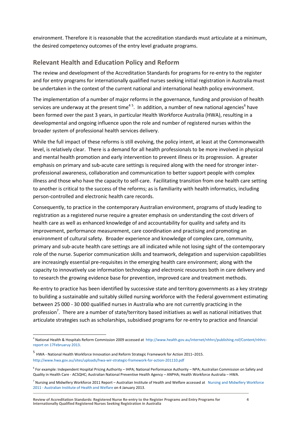environment. Therefore it is reasonable that the accreditation standards must articulate at a minimum, the desired competency outcomes of the entry level graduate programs.

### <span id="page-7-0"></span>**Relevant Health and Education Policy and Reform**

The review and development of the Accreditation Standards for programs for re-entry to the register and for entry programs for internationally qualified nurses seeking initial registration in Australia must be undertaken in the context of the current national and international health policy environment.

The implementation of a number of major reforms in the governance, funding and provision of health services are underway at the present time<sup>45</sup>. In addition, a number of new national agencies<sup>6</sup> have been formed over the past 3 years, in particular Health Workforce Australia (HWA), resulting in a developmental and ongoing influence upon the role and number of registered nurses within the broader system of professional health services delivery.

While the full impact of these reforms is still evolving, the policy intent, at least at the Commonwealth level, is relatively clear. There is a demand for all health professionals to be more involved in physical and mental health promotion and early intervention to prevent illness or its progression. A greater emphasis on primary and sub-acute care settings is required along with the need for stronger interprofessional awareness, collaboration and communication to better support people with complex illness and those who have the capacity to self-care. Facilitating transition from one health care setting to another is critical to the success of the reforms; as is familiarity with health informatics, including person-controlled and electronic health care records.

Consequently, to practice in the contemporary Australian environment, programs of study leading to registration as a registered nurse require a greater emphasis on understanding the cost drivers of health care as well as enhanced knowledge of and accountability for quality and safety and its improvement, performance measurement, care coordination and practising and promoting an environment of cultural safety. Broader experience and knowledge of complex care, community, primary and sub-acute health care settings are all indicated while not losing sight of the contemporary role of the nurse. Superior communication skills and teamwork, delegation and supervision capabilities are increasingly essential pre-requisites in the emerging health care environment; along with the capacity to innovatively use information technology and electronic resources both in care delivery and to research the growing evidence base for prevention, improved care and treatment methods.

Re-entry to practice has been identified by successive state and territory governments as a key strategy to building a sustainable and suitably skilled nursing workforce with the Federal government estimating between 25 000 - 30 000 qualified nurses in Australia who are not currently practicing in the profession<sup>7</sup>. There are a number of state/territory based initiatives as well as national initiatives that articulate strategies such as scholarships, subsidised programs for re-entry to practice and financial

 $\ddot{\phantom{a}}$ 

<sup>4</sup> National Health & Hospitals Reform Commission 2009 accessed at [http://www.health.gov.au/internet/nhhrc/publishing.nsf/Content/nhhrc](http://www.health.gov.au/internet/nhhrc/publishing.nsf/Content/nhhrc-report%20on%2017Februaruy%202013)[report on 17Februaruy 2013.](http://www.health.gov.au/internet/nhhrc/publishing.nsf/Content/nhhrc-report%20on%2017Februaruy%202013)

<sup>&</sup>lt;sup>5</sup> HWA - National Health Workforce Innovation and Reform Strategic Framework for Action 2011–2015. <http://www.hwa.gov.au/sites/uploads/hwa-wir-strategic-framework-for-action-201110.pdf>

<sup>&</sup>lt;sup>6</sup> For example: Independent Hospital Pricing Authority – IHPA; National Performance Authority – NPA; Australian Commission on Safety and Quality in Health Care - ACSQHC; Australian National Preventive Health Agency – ANPHA; Health Workforce Australia – HWA.

<sup>&</sup>lt;sup>7</sup> [Nursing and Midwifery Workforce](http://www.google.com.au/url?sa=t&rct=j&q=re-entry%20to%20practice%20nursing%2030%2C000%20qualified%20nurses%20in%20australia%20who%20are%20not%20currently%20practicing%20in%20the%20profession&source=web&cd=4&cad=rja&ved=0CEMQFjAD&url=http%3A%2F%2Fwww.aihw.gov.au%2FWorkArea%2FDownloadAsset.aspx%3Fid%3D10737422164&ei=Dx3qUNXRB4mRkwWnnIGIAQ&usg=AFQjCNGIxIsTKBaGdNDuytLLJ_9Unx4ZZA) 2011 Report – Australian Institute of Health and Welfare accessed at Nursing and Midwifery Workforce 2011 - [Australian Institute of Health and Welfare](http://www.google.com.au/url?sa=t&rct=j&q=re-entry%20to%20practice%20nursing%2030%2C000%20qualified%20nurses%20in%20australia%20who%20are%20not%20currently%20practicing%20in%20the%20profession&source=web&cd=4&cad=rja&ved=0CEMQFjAD&url=http%3A%2F%2Fwww.aihw.gov.au%2FWorkArea%2FDownloadAsset.aspx%3Fid%3D10737422164&ei=Dx3qUNXRB4mRkwWnnIGIAQ&usg=AFQjCNGIxIsTKBaGdNDuytLLJ_9Unx4ZZA) on 4 January 2013.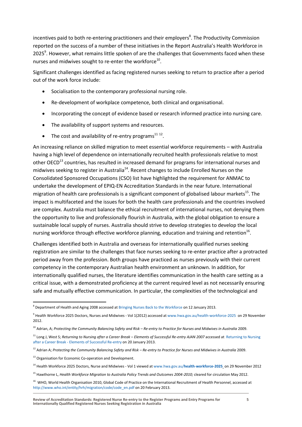incentives paid to both re-entering practitioners and their employers<sup>8</sup>. The Productivity Commission reported on the success of a number of these initiatives in the Report Australia's Health Workforce in 2025<sup>9</sup>. However, what remains little spoken of are the challenges that Governments faced when these nurses and midwives sought to re-enter the workforce<sup>10</sup>.

Significant challenges identified as facing registered nurses seeking to return to practice after a period out of the work force include:

- Socialisation to the contemporary professional nursing role.
- Re-development of workplace competence, both clinical and organisational.
- Incorporating the concept of evidence based or research informed practice into nursing care.
- The availability of support systems and resources.
- The cost and availability of re-entry programs $^{11}$   $^{12}$ .

An increasing reliance on skilled migration to meet essential workforce requirements – with Australia having a high level of dependence on internationally recruited health professionals relative to most other OECD<sup>13</sup> countries, has resulted in increased demand for programs for international nurses and midwives seeking to register in Australia<sup>14</sup>. Recent changes to include Enrolled Nurses on the Consolidated Sponsored Occupations (CSO) list have highlighted the requirement for ANMAC to undertake the development of EPIQ-EN Accreditation Standards in the near future. International migration of health care professionals is a significant component of globalised labour markets<sup>15</sup>. The impact is multifaceted and the issues for both the health care professionals and the countries involved are complex. Australia must balance the ethical recruitment of international nurses, not denying them the opportunity to live and professionally flourish in Australia, with the global obligation to ensure a sustainable local supply of nurses. Australia should strive to develop strategies to develop the local nursing workforce through effective workforce planning, education and training and retention<sup>16</sup>.

Challenges identified both in Australia and overseas for internationally qualified nurses seeking registration are similar to the challenges that face nurses seeking to re-enter practice after a protracted period away from the profession. Both groups have practiced as nurses previously with their current competency in the contemporary Australian health environment an unknown. In addition, for internationally qualified nurses, the literature identifies communication in the health care setting as a critical issue, with a demonstrated proficiency at the current required level as not necessarily ensuring safe and mutually effective communication. In particular, the complexities of the technological and

 $\overline{a}$ 

 $^8$  Department of Health and Aging 2008 accessed a[t Bringing Nurses Back to the Workforce](http://www.google.com.au/url?sa=t&rct=j&q=rudd%20government%20to%20bring%20nurses%20back%20into%20the%20workforce&source=web&cd=1&cad=rja&sqi=2&ved=0CC8QFjAA&url=http%3A%2F%2Fwww.health.gov.au%2Finternet%2Fministers%2Fpublishing.nsf%2FContent%2Fmr-yr08-nr-nr008.htm&ei=4fcJUcPCE8W6kQXv34DwCg&usg=AFQjCNEiR6a8iHf_KsVqJOuefBAiWX1X0A) on 12 January 2013.

<sup>&</sup>lt;sup>9</sup> Health Workforce 2025 Doctors, Nurses and Midwives - Vol 1(2012) accessed a[t www.hwa.gov.au/health-workforce-2025](http://www.hwa.gov.au/health-workforce-2025) on 29 November 2012.

<sup>10</sup> Adrian, A; *Protecting the Community Balancing Safety and Risk – Re-entry to Practice for Nurses and Midwives in Australia* 2009.

<sup>&</sup>lt;sup>11</sup> Long J, West S; [Returning to Nursing](http://www.google.com.au/url?sa=t&rct=j&q=ryan%2C%20re%20entry%20to%20practice%20nurses%20&source=web&cd=7&cad=rja&ved=0CFMQFjAG&url=http%3A%2F%2Fwww.ajan.com.au%2FVol25%2FVol25.1.pdf&ei=GPkJUZjwIZCQiAfc-YDoDA&usg=AFQjCNH2cHqwUKL88MQPHlGk7I1nDTnEqA) after a Career Break – Elements of Successful Re-entry AJAN 2007 accessed at Returning to Nursing after a Career Break - [Elements of Successful Re-entry](http://www.google.com.au/url?sa=t&rct=j&q=ryan%2C%20re%20entry%20to%20practice%20nurses%20&source=web&cd=7&cad=rja&ved=0CFMQFjAG&url=http%3A%2F%2Fwww.ajan.com.au%2FVol25%2FVol25.1.pdf&ei=GPkJUZjwIZCQiAfc-YDoDA&usg=AFQjCNH2cHqwUKL88MQPHlGk7I1nDTnEqA) on 20 January 2013.

<sup>12</sup> Adrian A; *Protecting the Community Balancing Safety and Risk – Re-entry to Practice for Nurses and Midwives in Australia* 2009.

<sup>&</sup>lt;sup>13</sup> Organisation for Economic Co-operation and Development.

<sup>14</sup> Health Workforce 2025 Doctors, Nurse and Midwives - Vol 1 viewed a[t www.hwa.gov.au/](http://www.hwa.gov.au/health-workforce-2025)**health**-**workforce-2025** on 29 November 2012

<sup>&</sup>lt;sup>15</sup> Hawthorne L, *Health Workforce Migration to Australia Policy Trends and Outcomes 2004-2010; cleared for circulation May 2012.* 

<sup>&</sup>lt;sup>16</sup> WHO, World Health Organisation 2010, Global Code of Practice on the International Recruitment of Health Personnel, accessed at [http://www.who.int/entity/hrh/migration/code/code\\_en.pdf](http://www.who.int/entity/hrh/migration/code/code_en.pdf) on 20 February 2013.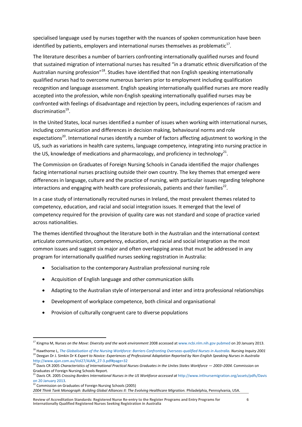specialised language used by nurses together with the nuances of spoken communication have been identified by patients, employers and international nurses themselves as problematic $^{17}$ .

The literature describes a number of barriers confronting internationally qualified nurses and found that sustained migration of international nurses has resulted "in a dramatic ethnic diversification of the Australian nursing profession"<sup>18</sup>. Studies have identified that non English speaking internationally qualified nurses had to overcome numerous barriers prior to employment including qualification recognition and language assessment. English speaking internationally qualified nurses are more readily accepted into the profession, while non-English speaking internationally qualified nurses may be confronted with feelings of disadvantage and rejection by peers, including experiences of racism and discrimination<sup>19</sup>.

In the United States, local nurses identified a number of issues when working with international nurses, including communication and differences in decision making, behavioural norms and role expectations<sup>20</sup>. International nurses identify a number of factors affecting adjustment to working in the US, such as variations in health care systems, language competency, integrating into nursing practice in the US, knowledge of medications and pharmacology, and proficiency in technology<sup>21</sup>.

The Commission on Graduates of Foreign Nursing Schools in Canada identified the major challenges facing international nurses practising outside their own country. The key themes that emerged were differences in language, culture and the practice of nursing, with particular issues regarding telephone interactions and engaging with health care professionals, patients and their families<sup>22</sup>.

In a case study of internationally recruited nurses in Ireland, the most prevalent themes related to competency, education, and racial and social integration issues. It emerged that the level of competency required for the provision of quality care was not standard and scope of practice varied across nationalities.

The themes identified throughout the literature both in the Australian and the international context articulate communication, competency, education, and racial and social integration as the most common issues and suggest six major and often overlapping areas that must be addressed in any program for internationally qualified nurses seeking registration in Australia:

- Socialisation to the contemporary Australian professional nursing role
- Acquisition of English language and other communication skills
- Adapting to the Australian style of interpersonal and inter and intra professional relationships
- Development of workplace competence, both clinical and organisational
- Provision of culturally congruent care to diverse populations

<sup>22</sup> Commission on Graduates of Foreign Nursing Schools (2005)

 $\overline{a}$ 

*2004 Think Tank Monograph: Building Global Alliances II: The Evolving Healthcare Migration.* Philadelphia, Pennsylvania, USA.

<sup>17</sup> Kingma M, *Nurses on the Move: Diversity and the work environment* 2008 accessed a[t www.ncbi.nlm.nih.gov pubmed](http://www.google.com.au/url?sa=t&rct=j&q=nurses%20on%20the%20move%3A%20diversity%20and%20the%20work%20environment&source=web&cd=1&cad=rja&ved=0CDkQFjAA&url=http%3A%2F%2Fwww.ncbi.nlm.nih.gov%2Fpubmed%2F18844573&ei=GQEKUbLzD6qkige21IHQCw&usg=AFQjCNE73qO9jnkSM5XMeMwnH5uZRfEWRw) on 20 January 2013.

<sup>18</sup> Hawthorne L, *[The Globalisation of the Nursing Workforce: Barriers Confronting Overseas-qualified Nurses in Australia.](http://www.findanexpert.unimelb.edu.au/individual/publication1638) Nursing Inquiry 2001* <sup>19</sup> Deegan Dr J. Simkin Dr K *Expert to Novice: Experiences of Professional Adaptation Reported by Non-English Speaking Nurses in Australia* [http://www.ajan.com.au/Vol27/AJAN\\_27-3.pdf#page=32](http://www.ajan.com.au/Vol27/AJAN_27-3.pdf#page=32)

<sup>20</sup> Davis CR 2005 *Characteristics of International Practical Nurses Graduates in the Unites States Workforce — 2003–2004.* Commission on Graduates of Foreign Nursing Schools Report.

Davis CR. 2005 *Crossing Borders International Nurses in the US Workforce accessed at http://www.intlnursemigration.org/assets/pdfs/Davis* [on 20 January 2013.](http://www.intlnursemigration.org/assets/pdfs/Davis%20on%2020%20January%202013)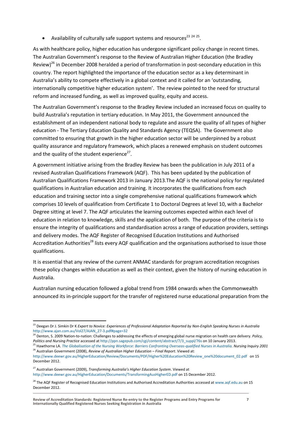• Availability of culturally safe support systems and resources<sup>23</sup>  $24$  <sup>25</sup>.

As with healthcare policy, higher education has undergone significant policy change in recent times. The Australian Government's response to the Review of Australian Higher Education (the Bradley Review)<sup>26</sup> in December 2008 heralded a period of transformation in post-secondary education in this country. The report highlighted the importance of the education sector as a key determinant in Australia's ability to compete effectively in a global context and it called for an 'outstanding, internationally competitive higher education system'. The review pointed to the need for structural reform and increased funding, as well as improved quality, equity and access.

The Australian Government's response to the Bradley Review included an increased focus on quality to build Australia's reputation in tertiary education. In May 2011, the Government announced the establishment of an independent national body to regulate and assure the quality of all types of higher education - The Tertiary Education Quality and Standards Agency (TEQSA). The Government also committed to ensuring that growth in the higher education sector will be underpinned by a robust quality assurance and regulatory framework, which places a renewed emphasis on student outcomes and the quality of the student experience<sup>27</sup>.

A government initiative arising from the Bradley Review has been the publication in July 2011 of a revised Australian Qualifications Framework (AQF). This has been updated by the publication of Australian Qualifications Framework 2013 in January 2013.The AQF is the national policy for regulated qualifications in Australian education and training. It incorporates the qualifications from each education and training sector into a single comprehensive national qualifications framework which comprises 10 levels of qualification from Certificate 1 to Doctoral Degrees at level 10, with a Bachelor Degree sitting at level 7. The AQF articulates the learning outcomes expected within each level of education in relation to knowledge, skills and the application of both. The purpose of the criteria is to ensure the integrity of qualifications and standardisation across a range of education providers, settings and delivery modes. The AQF Register of Recognised Education Institutions and Authorised Accreditation Authorities<sup>28</sup> lists every AQF qualification and the organisations authorised to issue those qualifications.

It is essential that any review of the current ANMAC standards for program accreditation recognises these policy changes within education as well as their context, given the history of nursing education in Australia.

Australian nursing education followed a global trend from 1984 onwards when the Commonwealth announced its in-principle support for the transfer of registered nurse educational preparation from the

 $\overline{a}$ 

<sup>23</sup> Deegan Dr J. Simkin Dr K *Expert to Novice: Experiences of Professional Adaptation Reported by Non-English Speaking Nurses in Australia* [http://www.ajan.com.au/Vol27/AJAN\\_27-3.pdf#page=32](http://www.ajan.com.au/Vol27/AJAN_27-3.pdf#page=32)

<sup>24</sup> Denton, S. 2009 Nation-to-nation: Challenges to addressing the effects of emerging global nurse migration on health care delivery. *Policy, Politics and Nursing Practice* accessed a[t http://ppn.sagepub.com/cgi/content/abstract/7/3\\_suppl/76s](http://ppn.sagepub.com/cgi/content/abstract/7/3_suppl/76s) on 10 January 2013.

<sup>25</sup> Hawthorne LA. *[The Globalisation of the Nursing Workforce: Barriers Confronting Overseas-qualified Nurses in Australia.](http://www.findanexpert.unimelb.edu.au/individual/publication1638) Nursing Inquiry 2001* <sup>26</sup> Australian Government (2008), *Review of Australian Higher Education – Final Report*. Viewed at:

[http://www.deewr.gov.au/HigherEducation/Review/Documents/PDF/Higher%20Education%20Review\\_one%20document\\_02.pdf](http://www.deewr.gov.au/HigherEducation/Review/Documents/PDF/Higher%20Education%20Review_one%20document_02.pdf) on 15 December 2012.

<sup>27</sup> Australian Government (2009), *Transforming Australia's Higher Education System*. Viewed at <http://www.deewr.gov.au/HigherEducation/Documents/TransformingAusHigherED.pdf> on 15 December 2012.

<sup>&</sup>lt;sup>28</sup> The AQF Register of Recognised Education Institutions and Authorised Accreditation Authorities accessed a[t www.aqf.edu.au](http://www.aqf.edu.au/) on 15 December 2012.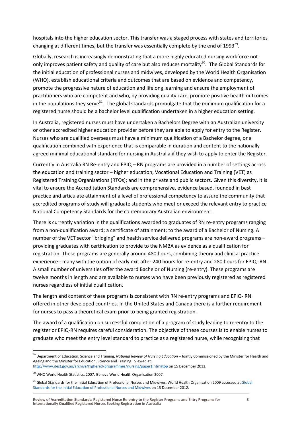hospitals into the higher education sector. This transfer was a staged process with states and territories changing at different times, but the transfer was essentially complete by the end of 1993<sup>29</sup>.

Globally, research is increasingly demonstrating that a more highly educated nursing workforce not only improves patient safety and quality of care but also reduces mortality<sup>30</sup>. The Global Standards for the initial education of professional nurses and midwives, developed by the World Health Organisation (WHO), establish educational criteria and outcomes that are based on evidence and competency, promote the progressive nature of education and lifelong learning and ensure the employment of practitioners who are competent and who, by providing quality care, promote positive health outcomes in the populations they serve<sup>31</sup>. The global standards promulgate that the minimum qualification for a registered nurse should be a bachelor level qualification undertaken in a higher education setting.

In Australia, registered nurses must have undertaken a Bachelors Degree with an Australian university or other accredited higher education provider before they are able to apply for entry to the Register. Nurses who are qualified overseas must have a minimum qualification of a Bachelor degree, or a qualification combined with experience that is comparable in duration and content to the nationally agreed minimal educational standard for nursing in Australia if they wish to apply to enter the Register.

Currently in Australia RN Re-entry and EPIQ – RN programs are provided in a number of settings across the education and training sector – higher education, Vocational Education and Training (VET) as Registered Training Organisations (RTOs); and in the private and public sectors. Given this diversity, it is vital to ensure the Accreditation Standards are comprehensive, evidence based, founded in best practice and articulate attainment of a level of professional competency to assure the community that accredited programs of study will graduate students who meet or exceed the relevant entry to practice National Competency Standards for the contemporary Australian environment.

There is currently variation in the qualifications awarded to graduates of RN re-entry programs ranging from a non-qualification award; a certificate of attainment; to the award of a Bachelor of Nursing. A number of the VET sector "bridging" and health service delivered programs are non-award programs – providing graduates with certification to provide to the NMBA as evidence as a qualification for registration. These programs are generally around 480 hours, combining theory and clinical practice experience - many with the option of early exit after 240 hours for re-entry and 280 hours for EPIQ -RN. A small number of universities offer the award Bachelor of Nursing (re-entry). These programs are twelve months in length and are available to nurses who have been previously registered as registered nurses regardless of initial qualification.

The length and content of these programs is consistent with RN re-entry programs and EPIQ- RN offered in other developed countries. In the United States and Canada there is a further requirement for nurses to pass a theoretical exam prior to being granted registration.

The award of a qualification on successful completion of a program of study leading to re-entry to the register or EPIQ-RN requires careful consideration. The objective of these courses is to enable nurses to graduate who meet the entry level standard to practice as a registered nurse, while recognising that

 $\overline{a}$ 

<sup>29</sup> Department of Education, Science and Training, *National Review of Nursing Education* – Jointly Commissioned by the Minister for Health and Ageing and the Minister for Education, Science and Training. Viewed at:

<http://www.dest.gov.au/archive/highered/programmes/nursing/paper1.htm#top> on 15 December 2012.

<sup>&</sup>lt;sup>30</sup> WHO World Health Statistics, 2007. Geneva World Health Organisation 2007.

<sup>&</sup>lt;sup>31</sup> Global Standards for the Initial Education of Professional Nurses and Midwives, World Health Organisation 2009 accessed at Global [Standards for the Initial Education of Professional Nurses and Midwives](http://www.google.com.au/url?sa=t&rct=j&q=global%20standards%20for%20the%20initial%20education%20of%20professional%20nurses%20and%20midwives%2C%20world%20health%20organisation%202009%20accessed%20at%20&source=web&cd=2&cad=rja&ved=0CDcQFjAB&url=http%3A%2F%2Fwww.who.int%2Fhrh%2Fnursing_midwifery%2Fhrh_global_standards_education.pdf&ei=MwzJUPPTEOeviQfe8ICABQ&usg=AFQjCNEfhAzOeh1qKTbig2LO3k7xHEcfCQ) on 13 December 2012.

**Review of Accreditation Standards: Registered Nurse Re-entry to the Register Programs and Entry Programs for Internationally Qualified Registered Nurses Seeking Registration in Australia**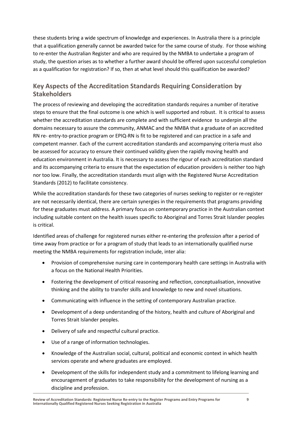these students bring a wide spectrum of knowledge and experiences. In Australia there is a principle that a qualification generally cannot be awarded twice for the same course of study. For those wishing to re-enter the Australian Register and who are required by the NMBA to undertake a program of study, the question arises as to whether a further award should be offered upon successful completion as a qualification for registration? If so, then at what level should this qualification be awarded?

# <span id="page-12-0"></span>**Key Aspects of the Accreditation Standards Requiring Consideration by Stakeholders**

The process of reviewing and developing the accreditation standards requires a number of iterative steps to ensure that the final outcome is one which is well supported and robust. It is critical to assess whether the accreditation standards are complete and with sufficient evidence to underpin all the domains necessary to assure the community, ANMAC and the NMBA that a graduate of an accredited RN re- entry-to-practice program or EPIQ-RN is fit to be registered and can practice in a safe and competent manner. Each of the current accreditation standards and accompanying criteria must also be assessed for accuracy to ensure their continued validity given the rapidly moving health and education environment in Australia. It is necessary to assess the rigour of each accreditation standard and its accompanying criteria to ensure that the expectation of education providers is neither too high nor too low. Finally, the accreditation standards must align with the Registered Nurse Accreditation Standards (2012) to facilitate consistency.

While the accreditation standards for these two categories of nurses seeking to register or re-register are not necessarily identical, there are certain synergies in the requirements that programs providing for these graduates must address. A primary focus on contemporary practice in the Australian context including suitable content on the health issues specific to Aboriginal and Torres Strait Islander peoples is critical.

Identified areas of challenge for registered nurses either re-entering the profession after a period of time away from practice or for a program of study that leads to an internationally qualified nurse meeting the NMBA requirements for registration include, inter alia:

- Provision of comprehensive nursing care in contemporary health care settings in Australia with a focus on the National Health Priorities.
- Fostering the development of critical reasoning and reflection, conceptualisation, innovative thinking and the ability to transfer skills and knowledge to new and novel situations.
- Communicating with influence in the setting of contemporary Australian practice.
- Development of a deep understanding of the history, health and culture of Aboriginal and Torres Strait Islander peoples.
- Delivery of safe and respectful cultural practice.
- Use of a range of information technologies.
- Knowledge of the Australian social, cultural, political and economic context in which health services operate and where graduates are employed.
- Development of the skills for independent study and a commitment to lifelong learning and encouragement of graduates to take responsibility for the development of nursing as a discipline and profession.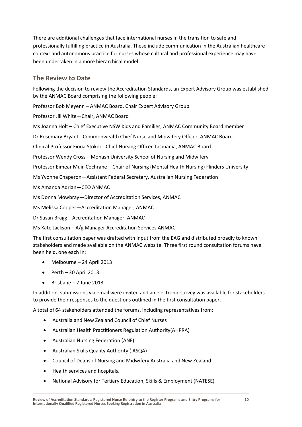There are additional challenges that face international nurses in the transition to safe and professionally fulfilling practice in Australia. These include communication in the Australian healthcare context and autonomous practice for nurses whose cultural and professional experience may have been undertaken in a more hierarchical model.

### <span id="page-13-0"></span>**The Review to Date**

Following the decision to review the Accreditation Standards, an Expert Advisory Group was established by the ANMAC Board comprising the following people:

Professor Bob Meyenn – ANMAC Board, Chair Expert Advisory Group

Professor Jill White—Chair, ANMAC Board

Ms Joanna Holt – Chief Executive NSW Kids and Families, ANMAC Community Board member

Dr Rosemary Bryant - Commonwealth Chief Nurse and Midwifery Officer, ANMAC Board

Clinical Professor Fiona Stoker - Chief Nursing Officer Tasmania, ANMAC Board

Professor Wendy Cross – Monash University School of Nursing and Midwifery

Professor Eimear Muir-Cochrane – Chair of Nursing (Mental Health Nursing) Flinders University

Ms Yvonne Chaperon—Assistant Federal Secretary, Australian Nursing Federation

Ms Amanda Adrian—CEO ANMAC

Ms Donna Mowbray—Director of Accreditation Services, ANMAC

Ms Melissa Cooper—Accreditation Manager, ANMAC

Dr Susan Bragg—Accreditation Manager, ANMAC

Ms Kate Jackson – A/g Manager Accreditation Services ANMAC

The first consultation paper was drafted with input from the EAG and distributed broadly to known stakeholders and made available on the ANMAC website. Three first round consultation forums have been held, one each in:

- Melbourne 24 April 2013
- $\bullet$  Perth 30 April 2013
- $\bullet$  Brisbane 7 June 2013.

In addition, submissions via email were invited and an electronic survey was available for stakeholders to provide their responses to the questions outlined in the first consultation paper.

A total of 64 stakeholders attended the forums, including representatives from:

- Australia and New Zealand Council of Chief Nurses
- Australian Health Practitioners Regulation Authority(AHPRA)
- Australian Nursing Federation (ANF)
- Australian Skills Quality Authority ( ASQA)
- Council of Deans of Nursing and Midwifery Australia and New Zealand
- Health services and hospitals.
- National Advisory for Tertiary Education, Skills & Employment (NATESE)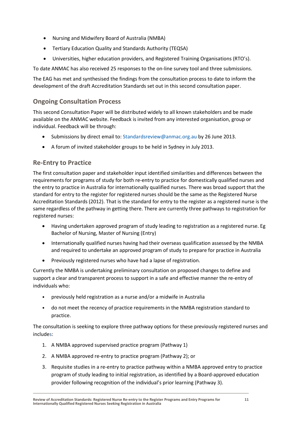- Nursing and Midwifery Board of Australia (NMBA)
- Tertiary Education Quality and Standards Authority (TEQSA)
- Universities, higher education providers, and Registered Training Organisations (RTO's).

To date ANMAC has also received 25 responses to the on-line survey tool and three submissions.

The EAG has met and synthesised the findings from the consultation process to date to inform the development of the draft Accreditation Standards set out in this second consultation paper.

# <span id="page-14-0"></span>**Ongoing Consultation Process**

This second Consultation Paper will be distributed widely to all known stakeholders and be made available on the ANMAC website. Feedback is invited from any interested organisation, group or individual. Feedback will be through:

- Submissions by direct email to: [Standardsreview@anmac.org.au](mailto:Standardsreview@anmac.org.au) by 26 June 2013.
- A forum of invited stakeholder groups to be held in Sydney in July 2013.

# <span id="page-14-1"></span>**Re-Entry to Practice**

The first consultation paper and stakeholder input identified similarities and differences between the requirements for programs of study for both re-entry to practice for domestically qualified nurses and the entry to practice in Australia for internationally qualified nurses. There was broad support that the standard for entry to the register for registered nurses should be the same as the Registered Nurse Accreditation Standards (2012). That is the standard for entry to the register as a registered nurse is the same regardless of the pathway in getting there. There are currently three pathways to registration for registered nurses:

- Having undertaken approved program of study leading to registration as a registered nurse. Eg Bachelor of Nursing, Master of Nursing (Entry)
- Internationally qualified nurses having had their overseas qualification assessed by the NMBA and required to undertake an approved program of study to prepare for practice in Australia
- Previously registered nurses who have had a lapse of registration.

Currently the NMBA is undertaking preliminary consultation on proposed changes to define and support a clear and transparent process to support in a safe and effective manner the re-entry of individuals who:

- previously held registration as a nurse and/or a midwife in Australia
- do not meet the recency of practice requirements in the NMBA registration standard to practice.

The consultation is seeking to explore three pathway options for these previously registered nurses and includes:

- 1. A NMBA approved supervised practice program (Pathway 1)
- 2. A NMBA approved re-entry to practice program (Pathway 2); or
- 3. Requisite studies in a re-entry to practice pathway within a NMBA approved entry to practice program of study leading to initial registration, as identified by a Board-approved education provider following recognition of the individual's prior learning (Pathway 3).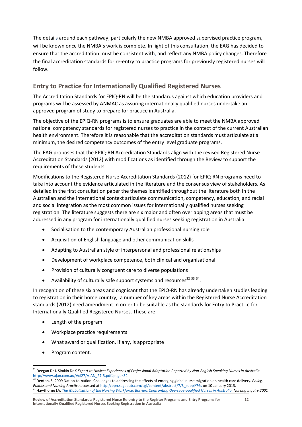The details around each pathway, particularly the new NMBA approved supervised practice program, will be known once the NMBA's work is complete. In light of this consultation, the EAG has decided to ensure that the accreditation must be consistent with, and reflect any NMBA policy changes. Therefore the final accreditation standards for re-entry to practice programs for previously registered nurses will follow.

# <span id="page-15-0"></span>**Entry to Practice for Internationally Qualified Registered Nurses**

The Accreditation Standards for EPIQ-RN will be the standards against which education providers and programs will be assessed by ANMAC as assuring internationally qualified nurses undertake an approved program of study to prepare for practice in Australia.

The objective of the EPIQ-RN programs is to ensure graduates are able to meet the NMBA approved national competency standards for registered nurses to practice in the context of the current Australian health environment. Therefore it is reasonable that the accreditation standards must articulate at a minimum, the desired competency outcomes of the entry level graduate programs.

The EAG proposes that the EPIQ-RN Accreditation Standards align with the revised Registered Nurse Accreditation Standards (2012) with modifications as identified through the Review to support the requirements of these students.

Modifications to the Registered Nurse Accreditation Standards (2012) for EPIQ-RN programs need to take into account the evidence articulated in the literature and the consensus view of stakeholders. As detailed in the first consultation paper the themes identified throughout the literature both in the Australian and the international context articulate communication, competency, education, and racial and social integration as the most common issues for internationally qualified nurses seeking registration. The literature suggests there are six major and often overlapping areas that must be addressed in any program for internationally qualified nurses seeking registration in Australia:

- Socialisation to the contemporary Australian professional nursing role
- Acquisition of English language and other communication skills
- Adapting to Australian style of interpersonal and professional relationships
- Development of workplace competence, both clinical and organisational
- Provision of culturally congruent care to diverse populations
- Availability of culturally safe support systems and resources<sup>32 33</sup> 34.

In recognition of these six areas and cognisant that the EPIQ-RN has already undertaken studies leading to registration in their home country, a number of key areas within the Registered Nurse Accreditation standards (2012) need amendment in order to be suitable as the standards for Entry to Practice for Internationally Qualified Registered Nurses. These are:

- Length of the program
- Workplace practice requirements
- What award or qualification, if any, is appropriate
- Program content.

 $\overline{a}$ <sup>32</sup> Deegan Dr J. Simkin Dr K *Expert to Novice: Experiences of Professional Adaptation Reported by Non-English Speaking Nurses in Australia* [http://www.ajan.com.au/Vol27/AJAN\\_27-3.pdf#page=32](http://www.ajan.com.au/Vol27/AJAN_27-3.pdf#page=32)

<sup>33</sup> Denton, S. 2009 Nation-to-nation: Challenges to addressing the effects of emerging global nurse migration on health care delivery. *Policy, Politics and Nursing Practice* accessed a[t http://ppn.sagepub.com/cgi/content/abstract/7/3\\_suppl/76s](http://ppn.sagepub.com/cgi/content/abstract/7/3_suppl/76s) on 10 January 2013. <sup>34</sup> Hawthorne LA. *[The Globalisation of the Nursing Workforce: Barriers Confronting Overseas-qualified Nurses in Australia.](http://www.findanexpert.unimelb.edu.au/individual/publication1638) Nursing Inquiry 2001*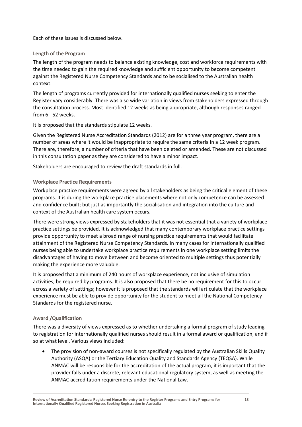Each of these issues is discussed below.

### **Length of the Program**

The length of the program needs to balance existing knowledge, cost and workforce requirements with the time needed to gain the required knowledge and sufficient opportunity to become competent against the Registered Nurse Competency Standards and to be socialised to the Australian health context.

The length of programs currently provided for internationally qualified nurses seeking to enter the Register vary considerably. There was also wide variation in views from stakeholders expressed through the consultation process. Most identified 12 weeks as being appropriate, although responses ranged from 6 - 52 weeks.

It is proposed that the standards stipulate 12 weeks.

Given the Registered Nurse Accreditation Standards (2012) are for a three year program, there are a number of areas where it would be inappropriate to require the same criteria in a 12 week program. There are, therefore, a number of criteria that have been deleted or amended. These are not discussed in this consultation paper as they are considered to have a minor impact.

Stakeholders are encouraged to review the draft standards in full.

### **Workplace Practice Requirements**

Workplace practice requirements were agreed by all stakeholders as being the critical element of these programs. It is during the workplace practice placements where not only competence can be assessed and confidence built; but just as importantly the socialisation and integration into the culture and context of the Australian health care system occurs.

There were strong views expressed by stakeholders that it was not essential that a variety of workplace practice settings be provided. It is acknowledged that many contemporary workplace practice settings provide opportunity to meet a broad range of nursing practice requirements that would facilitate attainment of the Registered Nurse Competency Standards. In many cases for internationally qualified nurses being able to undertake workplace practice requirements in one workplace setting limits the disadvantages of having to move between and become oriented to multiple settings thus potentially making the experience more valuable.

It is proposed that a minimum of 240 hours of workplace experience, not inclusive of simulation activities, be required by programs. It is also proposed that there be no requirement for this to occur across a variety of settings; however it is proposed that the standards will articulate that the workplace experience must be able to provide opportunity for the student to meet all the National Competency Standards for the registered nurse.

### **Award /Qualification**

There was a diversity of views expressed as to whether undertaking a formal program of study leading to registration for internationally qualified nurses should result in a formal award or qualification, and if so at what level. Various views included:

 The provision of non-award courses is not specifically regulated by the Australian Skills Quality Authority (ASQA) or the Tertiary Education Quality and Standards Agency (TEQSA). While ANMAC will be responsible for the accreditation of the actual program, it is important that the provider falls under a discrete, relevant educational regulatory system, as well as meeting the ANMAC accreditation requirements under the National Law.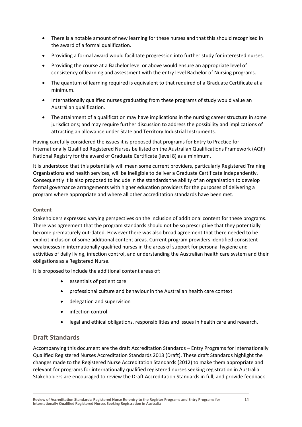- There is a notable amount of new learning for these nurses and that this should recognised in the award of a formal qualification.
- Providing a formal award would facilitate progression into further study for interested nurses.
- Providing the course at a Bachelor level or above would ensure an appropriate level of consistency of learning and assessment with the entry level Bachelor of Nursing programs.
- The quantum of learning required is equivalent to that required of a Graduate Certificate at a minimum.
- Internationally qualified nurses graduating from these programs of study would value an Australian qualification.
- The attainment of a qualification may have implications in the nursing career structure in some jurisdictions; and may require further discussion to address the possibility and implications of attracting an allowance under State and Territory Industrial Instruments.

Having carefully considered the issues it is proposed that programs for Entry to Practice for Internationally Qualified Registered Nurses be listed on the Australian Qualifications Framework (AQF) National Registry for the award of Graduate Certificate (level 8) as a minimum.

It is understood that this potentially will mean some current providers, particularly Registered Training Organisations and health services, will be ineligible to deliver a Graduate Certificate independently. Consequently it is also proposed to include in the standards the ability of an organisation to develop formal governance arrangements with higher education providers for the purposes of delivering a program where appropriate and where all other accreditation standards have been met.

### **Content**

Stakeholders expressed varying perspectives on the inclusion of additional content for these programs. There was agreement that the program standards should not be so prescriptive that they potentially become prematurely out-dated. However there was also broad agreement that there needed to be explicit inclusion of some additional content areas. Current program providers identified consistent weaknesses in internationally qualified nurses in the areas of support for personal hygiene and activities of daily living, infection control, and understanding the Australian health care system and their obligations as a Registered Nurse.

It is proposed to include the additional content areas of:

- essentials of patient care
- professional culture and behaviour in the Australian health care context
- delegation and supervision
- infection control
- legal and ethical obligations, responsibilities and issues in health care and research.

### <span id="page-17-0"></span>**Draft Standards**

Accompanying this document are the draft Accreditation Standards – Entry Programs for Internationally Qualified Registered Nurses Accreditation Standards 2013 (Draft). These draft Standards highlight the changes made to the Registered Nurse Accreditation Standards (2012) to make them appropriate and relevant for programs for internationally qualified registered nurses seeking registration in Australia. Stakeholders are encouraged to review the Draft Accreditation Standards in full, and provide feedback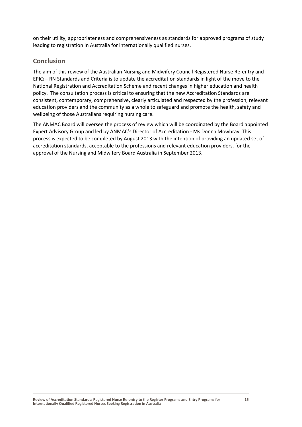on their utility, appropriateness and comprehensiveness as standards for approved programs of study leading to registration in Australia for internationally qualified nurses.

### <span id="page-18-0"></span>**Conclusion**

The aim of this review of the Australian Nursing and Midwifery Council Registered Nurse Re-entry and EPIQ – RN Standards and Criteria is to update the accreditation standards in light of the move to the National Registration and Accreditation Scheme and recent changes in higher education and health policy. The consultation process is critical to ensuring that the new Accreditation Standards are consistent, contemporary, comprehensive, clearly articulated and respected by the profession, relevant education providers and the community as a whole to safeguard and promote the health, safety and wellbeing of those Australians requiring nursing care.

The ANMAC Board will oversee the process of review which will be coordinated by the Board appointed Expert Advisory Group and led by ANMAC's Director of Accreditation - Ms Donna Mowbray. This process is expected to be completed by August 2013 with the intention of providing an updated set of accreditation standards, acceptable to the professions and relevant education providers, for the approval of the Nursing and Midwifery Board Australia in September 2013.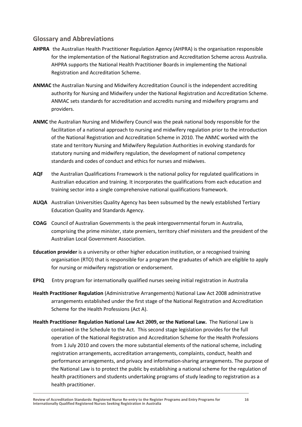### <span id="page-19-0"></span>**Glossary and Abbreviations**

- **AHPRA** the Australian Health Practitioner Regulation Agency (AHPRA) is the organisation responsible for the implementation of the National Registration and Accreditation Scheme across Australia. AHPRA supports the National Health Practitioner Boards in implementing the National Registration and Accreditation Scheme.
- **ANMAC** the Australian Nursing and Midwifery Accreditation Council is the independent accrediting authority for Nursing and Midwifery under the National Registration and Accreditation Scheme. ANMAC sets standards for accreditation and accredits nursing and midwifery programs and providers.
- **ANMC** the Australian Nursing and Midwifery Council was the peak national body responsible for the facilitation of a national approach to nursing and midwifery regulation prior to the introduction of the National Registration and Accreditation Scheme in 2010. The ANMC worked with the state and territory Nursing and Midwifery Regulation Authorities in evolving standards for statutory nursing and midwifery regulation, the development of national competency standards and codes of conduct and ethics for nurses and midwives.
- **AQF** the Australian Qualifications Framework is the national policy for regulated qualifications in Australian education and training. It incorporates the qualifications from each education and training sector into a single comprehensive national qualifications framework.
- **AUQA** Australian Universities Quality Agency has been subsumed by the newly established Tertiary Education Quality and Standards Agency.
- **COAG** Council of Australian Governments is the peak intergovernmental forum in Australia, comprising the prime minister, state premiers, territory chief ministers and the president of the Australian Local Government Association.
- **Education provider** is a university or other higher education institution, or a recognised training organisation (RTO) that is responsible for a program the graduates of which are eligible to apply for nursing or midwifery registration or endorsement.
- **EPIQ** Entry program for internationally qualified nurses seeing initial registration in Australia
- **Health Practitioner Regulation** (Administrative Arrangements) National Law Act 2008 administrative arrangements established under the first stage of the National Registration and Accreditation Scheme for the Health Professions (Act A).
- **Health Practitioner Regulation National Law Act 2009, or the National Law.** The National Law is contained in the Schedule to the Act. This second stage legislation provides for the full operation of the National Registration and Accreditation Scheme for the Health Professions from 1 July 2010 and covers the more substantial elements of the national scheme, including registration arrangements, accreditation arrangements, complaints, conduct, health and performance arrangements, and privacy and information-sharing arrangements. The purpose of the National Law is to protect the public by establishing a national scheme for the regulation of health practitioners and students undertaking programs of study leading to registration as a health practitioner.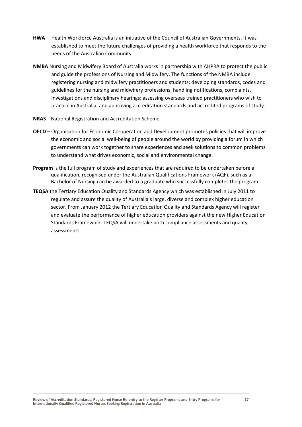- **HWA** Health Workforce Australia is an initiative of the Council of Australian Governments. It was established to meet the future challenges of providing a health workforce that responds to the needs of the Australian Community.
- **NMBA** Nursing and Midwifery Board of Australia works in partnership with AHPRA to protect the public and guide the professions of Nursing and Midwifery. The functions of the NMBA include registering nursing and midwifery practitioners and students; developing standards, codes and guidelines for the nursing and midwifery professions; handling notifications, complaints, investigations and disciplinary hearings; assessing overseas trained practitioners who wish to practice in Australia; and approving accreditation standards and accredited programs of study.
- **NRAS** National Registration and Accreditation Scheme
- **OECD** Organisation for Economic Co-operation and Development promotes policies that will improve the economic and social well-being of people around the world by providing a forum in which governments can work together to share experiences and seek solutions to common problems to understand what drives economic, social and environmental change.
- **Program** is the full program of study and experiences that are required to be undertaken before a qualification, recognised under the Australian Qualifications Framework (AQF), such as a Bachelor of Nursing can be awarded to a graduate who successfully completes the program.
- **TEQSA** the Tertiary Education Quality and Standards Agency which was established in July 2011 to regulate and assure the quality of Australia's large, diverse and complex higher education sector. From January 2012 the Tertiary Education Quality and Standards Agency will register and evaluate the performance of higher education providers against the new Higher Education Standards Framework. TEQSA will undertake both compliance assessments and quality assessments.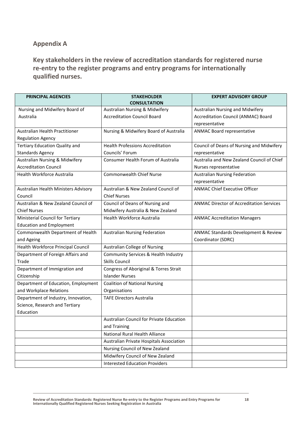## <span id="page-21-0"></span>**Appendix A**

<span id="page-21-1"></span>**Key stakeholders in the review of accreditation standards for registered nurse re-entry to the register programs and entry programs for internationally qualified nurses.**

| <b>PRINCIPAL AGENCIES</b>                 | <b>STAKEHOLDER</b><br><b>CONSULTATION</b> | <b>EXPERT ADVISORY GROUP</b>                    |
|-------------------------------------------|-------------------------------------------|-------------------------------------------------|
| Nursing and Midwifery Board of            | <b>Australian Nursing &amp; Midwifery</b> | Australian Nursing and Midwifery                |
| Australia                                 | <b>Accreditation Council Board</b>        | Accreditation Council (ANMAC) Board             |
|                                           |                                           | representative                                  |
| Australian Health Practitioner            | Nursing & Midwifery Board of Australia    | <b>ANMAC Board representative</b>               |
| <b>Regulation Agency</b>                  |                                           |                                                 |
| Tertiary Education Quality and            | <b>Health Professions Accreditation</b>   | Council of Deans of Nursing and Midwifery       |
| <b>Standards Agency</b>                   | Councils' Forum                           | representative                                  |
| <b>Australian Nursing &amp; Midwifery</b> | Consumer Health Forum of Australia        | Australia and New Zealand Council of Chief      |
| <b>Accreditation Council</b>              |                                           | Nurses representative                           |
| Health Workforce Australia                | <b>Commonwealth Chief Nurse</b>           | <b>Australian Nursing Federation</b>            |
|                                           |                                           | representative                                  |
| Australian Health Ministers Advisory      | Australian & New Zealand Council of       | <b>ANMAC Chief Executive Officer</b>            |
| Council                                   | <b>Chief Nurses</b>                       |                                                 |
| Australian & New Zealand Council of       | Council of Deans of Nursing and           | <b>ANMAC Director of Accreditation Services</b> |
| <b>Chief Nurses</b>                       | Midwifery Australia & New Zealand         |                                                 |
| Ministerial Council for Tertiary          | Health Workforce Australia                | <b>ANMAC Accreditation Managers</b>             |
| <b>Education and Employment</b>           |                                           |                                                 |
| Commonwealth Department of Health         | <b>Australian Nursing Federation</b>      | ANMAC Standards Development & Review            |
| and Ageing                                |                                           | Coordinator (SDRC)                              |
| Health Workforce Principal Council        | <b>Australian College of Nursing</b>      |                                                 |
| Department of Foreign Affairs and         | Community Services & Health Industry      |                                                 |
| Trade                                     | <b>Skills Council</b>                     |                                                 |
| Department of Immigration and             | Congress of Aboriginal & Torres Strait    |                                                 |
| Citizenship                               | <b>Islander Nurses</b>                    |                                                 |
| Department of Education, Employment       | <b>Coalition of National Nursing</b>      |                                                 |
| and Workplace Relations                   | Organisations                             |                                                 |
| Department of Industry, Innovation,       | <b>TAFE Directors Australia</b>           |                                                 |
| Science, Research and Tertiary            |                                           |                                                 |
| Education                                 |                                           |                                                 |
|                                           | Australian Council for Private Education  |                                                 |
|                                           | and Training                              |                                                 |
|                                           | National Rural Health Alliance            |                                                 |
|                                           | Australian Private Hospitals Association  |                                                 |
|                                           | Nursing Council of New Zealand            |                                                 |
|                                           | Midwifery Council of New Zealand          |                                                 |
|                                           | <b>Interested Education Providers</b>     |                                                 |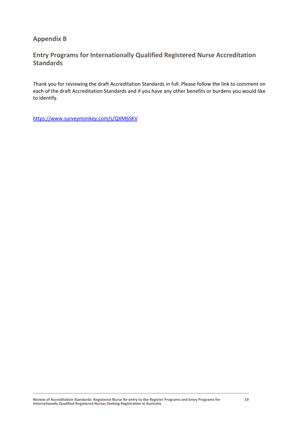### <span id="page-22-0"></span>**Appendix B**

### <span id="page-22-1"></span>**Entry Programs for Internationally Qualified Registered Nurse Accreditation Standards**

Thank you for reviewing the draft Accreditation Standards in full. Please follow the link to comment on each of the draft Accreditation Standards and if you have any other benefits or burdens you would like to identify.

<https://www.surveymonkey.com/s/QXM6SKV>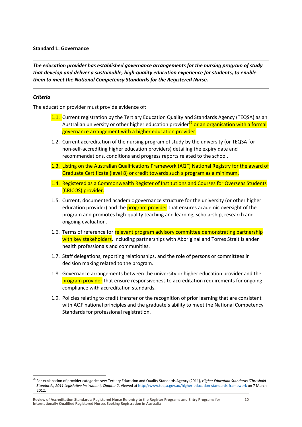#### **Standard 1: Governance**

*The education provider has established governance arrangements for the nursing program of study that develop and deliver a sustainable, high-quality education experience for students, to enable them to meet the National Competency Standards for the Registered Nurse.* 

### *Criteria*

 $\ddot{\phantom{a}}$ 

The education provider must provide evidence of:

- 1.1. Current registration by the Tertiary Education Quality and Standards Agency (TEQSA) as an Australian university or other higher education provider<sup>35</sup> or an organisation with a formal governance arrangement with a higher education provider.
- 1.2. Current accreditation of the nursing program of study by the university (or TEQSA for non-self-accrediting higher education providers) detailing the expiry date and recommendations, conditions and progress reports related to the school.
- 1.3. Listing on the Australian Qualifications Framework (AQF) National Registry for the award of Graduate Certificate (level 8) or credit towards such a program as a minimum.
- 1.4. Registered as a Commonwealth Register of Institutions and Courses for Overseas Students (CRICOS) provider.
- 1.5. Current, documented academic governance structure for the university (or other higher education provider) and the **program provider** that ensures academic oversight of the program and promotes high-quality teaching and learning, scholarship, research and ongoing evaluation.
- 1.6. Terms of reference for relevant program advisory committee demonstrating partnership with key stakeholders, including partnerships with Aboriginal and Torres Strait Islander health professionals and communities.
- 1.7. Staff delegations, reporting relationships, and the role of persons or committees in decision making related to the program.
- 1.8. Governance arrangements between the university or higher education provider and the program provider that ensure responsiveness to accreditation requirements for ongoing compliance with accreditation standards.
- 1.9. Policies relating to credit transfer or the recognition of prior learning that are consistent with AQF national principles and the graduate's ability to meet the National Competency Standards for professional registration.

<sup>&</sup>lt;sup>35</sup> For explanation of provider categories see: Tertiary Education and Quality Standards Agency (2011), *Higher Education Standards (Threshold Standards) 2011 Legislative Instrument, Chapter 2*. Viewed a[t http://www.teqsa.gov.au/higher-education-standards-framework](http://www.teqsa.gov.au/higher-education-standards-framework) on 7 March 2012.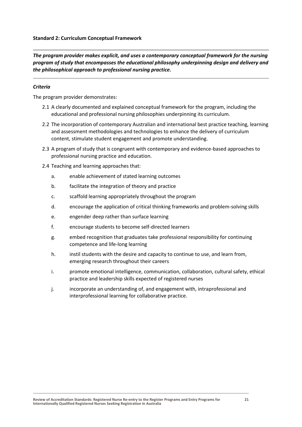*The program provider makes explicit, and uses a contemporary conceptual framework for the nursing program of study that encompasses the educational philosophy underpinning design and delivery and the philosophical approach to professional nursing practice.*

### *Criteria*

- 2.1 A clearly documented and explained conceptual framework for the program, including the educational and professional nursing philosophies underpinning its curriculum.
- 2.2 The incorporation of contemporary Australian and international best practice teaching, learning and assessment methodologies and technologies to enhance the delivery of curriculum content, stimulate student engagement and promote understanding.
- 2.3 A program of study that is congruent with contemporary and evidence-based approaches to professional nursing practice and education.
- 2.4 Teaching and learning approaches that:
	- a. enable achievement of stated learning outcomes
	- b. facilitate the integration of theory and practice
	- c. scaffold learning appropriately throughout the program
	- d. encourage the application of critical thinking frameworks and problem-solving skills
	- e. engender deep rather than surface learning
	- f. encourage students to become self-directed learners
	- g. embed recognition that graduates take professional responsibility for continuing competence and life-long learning
	- h. instil students with the desire and capacity to continue to use, and learn from, emerging research throughout their careers
	- i. promote emotional intelligence, communication, collaboration, cultural safety, ethical practice and leadership skills expected of registered nurses
	- j. incorporate an understanding of, and engagement with, intraprofessional and interprofessional learning for collaborative practice.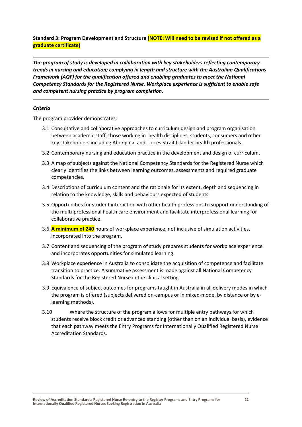### **Standard 3: Program Development and Structure (NOTE: Will need to be revised if not offered as a graduate certificate)**

*The program of study is developed in collaboration with key stakeholders reflecting contemporary trends in nursing and education; complying in length and structure with the Australian Qualifications Framework (AQF) for the qualification offered and enabling graduates to meet the National Competency Standards for the Registered Nurse. Workplace experience is sufficient to enable safe and competent nursing practice by program completion.* 

### *Criteria*

- 3.1 Consultative and collaborative approaches to curriculum design and program organisation between academic staff, those working in health disciplines, students, consumers and other key stakeholders including Aboriginal and Torres Strait Islander health professionals.
- 3.2 Contemporary nursing and education practice in the development and design of curriculum.
- 3.3 A map of subjects against the National Competency Standards for the Registered Nurse which clearly identifies the links between learning outcomes, assessments and required graduate competencies.
- 3.4 Descriptions of curriculum content and the rationale for its extent, depth and sequencing in relation to the knowledge, skills and behaviours expected of students.
- 3.5 Opportunities for student interaction with other health professions to support understanding of the multi-professional health care environment and facilitate interprofessional learning for collaborative practice.
- 3.6 **A minimum of 240** hours of workplace experience, not inclusive of simulation activities, incorporated into the program.
- 3.7 Content and sequencing of the program of study prepares students for workplace experience and incorporates opportunities for simulated learning.
- 3.8 Workplace experience in Australia to consolidate the acquisition of competence and facilitate transition to practice. A summative assessment is made against all National Competency Standards for the Registered Nurse in the clinical setting.
- 3.9 Equivalence of subject outcomes for programs taught in Australia in all delivery modes in which the program is offered (subjects delivered on-campus or in mixed-mode, by distance or by elearning methods).
- 3.10 Where the structure of the program allows for multiple entry pathways for which students receive block credit or advanced standing (other than on an individual basis), evidence that each pathway meets the Entry Programs for Internationally Qualified Registered Nurse Accreditation Standards.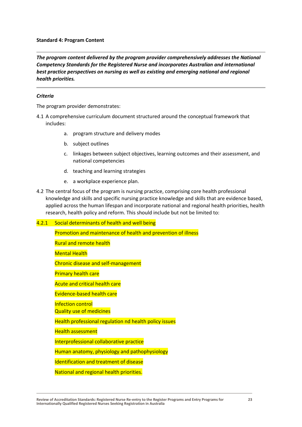#### **Standard 4: Program Content**

*The program content delivered by the program provider comprehensively addresses the National Competency Standards for the Registered Nurse and incorporates Australian and international best practice perspectives on nursing as well as existing and emerging national and regional health priorities.*

#### *Criteria*

The program provider demonstrates:

- 4.1 A comprehensive curriculum document structured around the conceptual framework that includes:
	- a. program structure and delivery modes
	- b. subject outlines
	- c. linkages between subject objectives, learning outcomes and their assessment, and national competencies
	- d. teaching and learning strategies
	- e. a workplace experience plan.
- 4.2 The central focus of the program is nursing practice, comprising core health professional knowledge and skills and specific nursing practice knowledge and skills that are evidence based, applied across the human lifespan and incorporate national and regional health priorities, health research, health policy and reform. This should include but not be limited to:

#### 4.2.1 Social determinants of health and well being

Promotion and maintenance of health and prevention of illness

Rural and remote health

Mental Health

Chronic disease and self-management

Primary health care

Acute and critical health care

Evidence-based health care

Infection control

Quality use of medicines

Health professional regulation nd health policy issues

Health assessment

Interprofessional collaborative practice

Human anatomy, physiology and pathophysiology

Identification and treatment of disease

National and regional health priorities.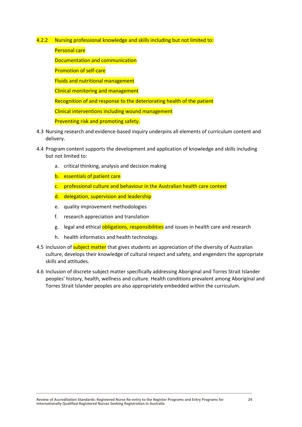- 4.2.2 Nursing professional knowledge and skills including but not limited to:
	- Personal care
	- Documentation and communication
	- Promotion of self-care
	- Fluids and nutritional management
	- Clinical monitoring and management
	- Recognition of and response to the deteriorating health of the patient
	- Clinical interventions including wound management
	- Preventing risk and promoting safety.
- 4.3 Nursing research and evidence-based inquiry underpins all elements of curriculum content and delivery.
- 4.4 Program content supports the development and application of knowledge and skills including but not limited to:
	- a. critical thinking, analysis and decision making
	- b. essentials of patient care
	- c. professional culture and behaviour in the Australian health care context
	- d. delegation, supervision and leadership
	- e. quality improvement methodologies
	- f. research appreciation and translation
	- g. legal and ethical obligations, responsibilities and issues in health care and research
	- h. health informatics and health technology.
- 4.5 Inclusion of **subject matter** that gives students an appreciation of the diversity of Australian culture, develops their knowledge of cultural respect and safety, and engenders the appropriate skills and attitudes.
- 4.6 Inclusion of discrete subject matter specifically addressing Aboriginal and Torres Strait Islander peoples' history, health, wellness and culture. Health conditions prevalent among Aboriginal and Torres Strait Islander peoples are also appropriately embedded within the curriculum.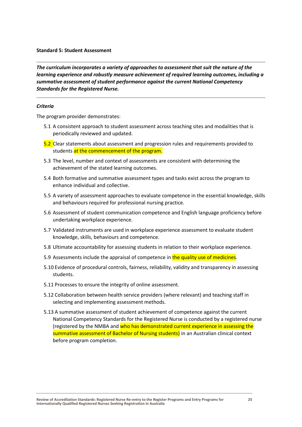#### **Standard 5: Student Assessment**

*The curriculum incorporates a variety of approaches to assessment that suit the nature of the learning experience and robustly measure achievement of required learning outcomes, including a summative assessment of student performance against the current National Competency Standards for the Registered Nurse.*

#### *Criteria*

- 5.1 A consistent approach to student assessment across teaching sites and modalities that is periodically reviewed and updated.
- 5.2 Clear statements about assessment and progression rules and requirements provided to students at the commencement of the program.
- 5.3 The level, number and context of assessments are consistent with determining the achievement of the stated learning outcomes.
- 5.4 Both formative and summative assessment types and tasks exist across the program to enhance individual and collective.
- 5.5 A variety of assessment approaches to evaluate competence in the essential knowledge, skills and behaviours required for professional nursing practice.
- 5.6 Assessment of student communication competence and English language proficiency before undertaking workplace experience.
- 5.7 Validated instruments are used in workplace experience assessment to evaluate student knowledge, skills, behaviours and competence.
- 5.8 Ultimate accountability for assessing students in relation to their workplace experience.
- 5.9 Assessments include the appraisal of competence in the quality use of medicines.
- 5.10 Evidence of procedural controls, fairness, reliability, validity and transparency in assessing students.
- 5.11 Processes to ensure the integrity of online assessment.
- 5.12 Collaboration between health service providers (where relevant) and teaching staff in selecting and implementing assessment methods.
- 5.13 A summative assessment of student achievement of competence against the current National Competency Standards for the Registered Nurse is conducted by a registered nurse (registered by the NMBA and who has demonstrated current experience in assessing the summative assessment of Bachelor of Nursing students) in an Australian clinical context before program completion.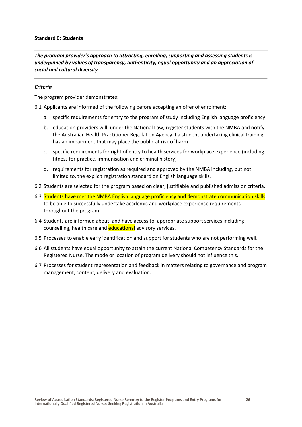#### **Standard 6: Students**

*The program provider's approach to attracting, enrolling, supporting and assessing students is underpinned by values of transparency, authenticity, equal opportunity and an appreciation of social and cultural diversity.*

#### *Criteria*

The program provider demonstrates:

6.1 Applicants are informed of the following before accepting an offer of enrolment:

- a. specific requirements for entry to the program of study including English language proficiency
- b. education providers will, under the National Law, register students with the NMBA and notify the Australian Health Practitioner Regulation Agency if a student undertaking clinical training has an impairment that may place the public at risk of harm
- c. specific requirements for right of entry to health services for workplace experience (including fitness for practice, immunisation and criminal history)
- d. requirements for registration as required and approved by the NMBA including, but not limited to, the explicit registration standard on English language skills.
- 6.2 Students are selected for the program based on clear, justifiable and published admission criteria.
- 6.3 Students have met the NMBA English language proficiency and demonstrate communication skills to be able to successfully undertake academic and workplace experience requirements throughout the program.
- 6.4 Students are informed about, and have access to, appropriate support services including counselling, health care and **educational** advisory services.
- 6.5 Processes to enable early identification and support for students who are not performing well.
- 6.6 All students have equal opportunity to attain the current National Competency Standards for the Registered Nurse. The mode or location of program delivery should not influence this.
- 6.7 Processes for student representation and feedback in matters relating to governance and program management, content, delivery and evaluation.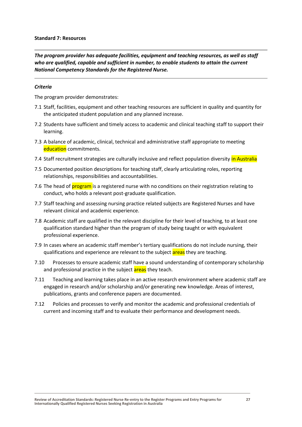#### **Standard 7: Resources**

*The program provider has adequate facilities, equipment and teaching resources, as well as staff who are qualified, capable and sufficient in number, to enable students to attain the current National Competency Standards for the Registered Nurse.*

#### *Criteria*

- 7.1 Staff, facilities, equipment and other teaching resources are sufficient in quality and quantity for the anticipated student population and any planned increase.
- 7.2 Students have sufficient and timely access to academic and clinical teaching staff to support their learning.
- 7.3 A balance of academic, clinical, technical and administrative staff appropriate to meeting education commitments.
- 7.4 Staff recruitment strategies are culturally inclusive and reflect population diversity in Australia
- 7.5 Documented position descriptions for teaching staff, clearly articulating roles, reporting relationships, responsibilities and accountabilities.
- 7.6 The head of **program** is a registered nurse with no conditions on their registration relating to conduct, who holds a relevant post-graduate qualification.
- 7.7 Staff teaching and assessing nursing practice related subjects are Registered Nurses and have relevant clinical and academic experience.
- 7.8 Academic staff are qualified in the relevant discipline for their level of teaching, to at least one qualification standard higher than the program of study being taught or with equivalent professional experience.
- 7.9 In cases where an academic staff member's tertiary qualifications do not include nursing, their qualifications and experience are relevant to the subject areas they are teaching.
- 7.10 Processes to ensure academic staff have a sound understanding of contemporary scholarship and professional practice in the subject areas they teach.
- 7.11 Teaching and learning takes place in an active research environment where academic staff are engaged in research and/or scholarship and/or generating new knowledge. Areas of interest, publications, grants and conference papers are documented.
- 7.12 Policies and processes to verify and monitor the academic and professional credentials of current and incoming staff and to evaluate their performance and development needs.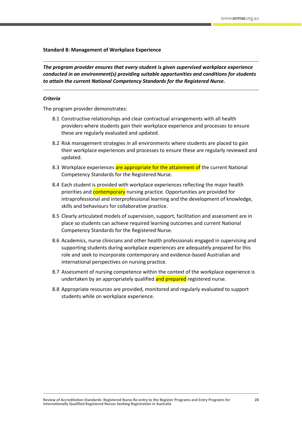#### **Standard 8: Management of Workplace Experience**

*The program provider ensures that every student is given supervised workplace experience conducted in an environment(s) providing suitable opportunities and conditions for students to attain the current National Competency Standards for the Registered Nurse.*

#### *Criteria*

- 8.1 Constructive relationships and clear contractual arrangements with all health providers where students gain their workplace experience and processes to ensure these are regularly evaluated and updated.
- 8.2 Risk management strategies in all environments where students are placed to gain their workplace experiences and processes to ensure these are regularly reviewed and updated.
- 8.3 Workplace experiences are appropriate for the attainment of the current National Competency Standards for the Registered Nurse.
- 8.4 Each student is provided with workplace experiences reflecting the major health priorities and **contemporary** nursing practice. Opportunities are provided for intraprofessional and interprofessional learning and the development of knowledge, skills and behaviours for collaborative practice.
- 8.5 Clearly articulated models of supervision, support, facilitation and assessment are in place so students can achieve required learning outcomes and current National Competency Standards for the Registered Nurse.
- 8.6 Academics, nurse clinicians and other health professionals engaged in supervising and supporting students during workplace experiences are adequately prepared for this role and seek to incorporate contemporary and evidence-based Australian and international perspectives on nursing practice.
- 8.7 Assessment of nursing competence within the context of the workplace experience is undertaken by an appropriately qualified and prepared registered nurse.
- 8.8 Appropriate resources are provided, monitored and regularly evaluated to support students while on workplace experience.